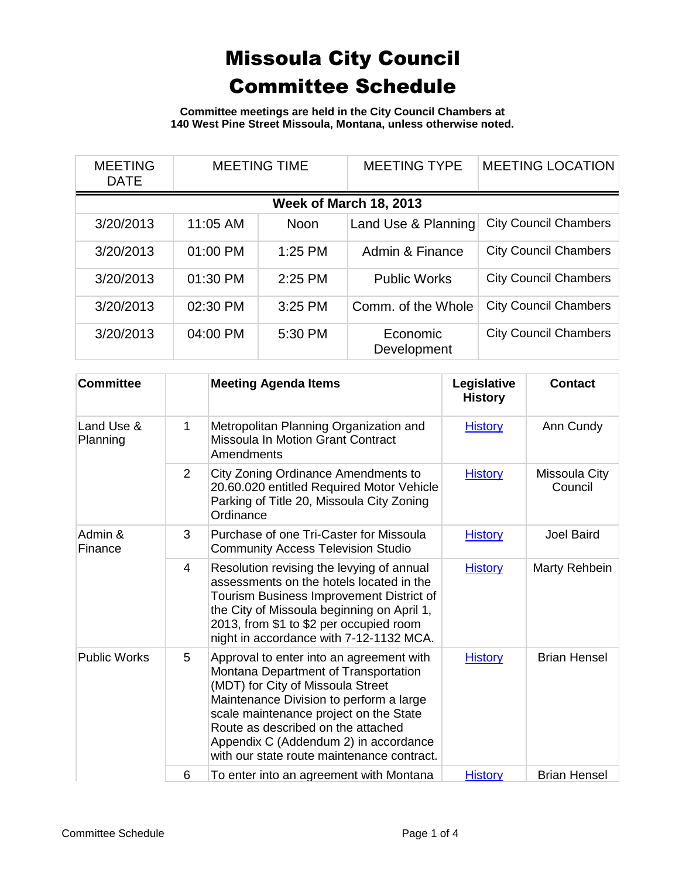**Committee meetings are held in the City Council Chambers at 140 West Pine Street Missoula, Montana, unless otherwise noted.**

| <b>MEETING</b><br><b>DATE</b> | <b>MEETING TIME</b> |             | <b>MEETING TYPE</b>     | <b>MEETING LOCATION</b>      |  |  |
|-------------------------------|---------------------|-------------|-------------------------|------------------------------|--|--|
| <b>Week of March 18, 2013</b> |                     |             |                         |                              |  |  |
| 3/20/2013                     | 11:05 AM            | <b>Noon</b> | Land Use & Planning     | <b>City Council Chambers</b> |  |  |
| 3/20/2013                     | 01:00 PM            | $1:25$ PM   | Admin & Finance         | <b>City Council Chambers</b> |  |  |
| 3/20/2013                     | 01:30 PM            | 2:25 PM     | <b>Public Works</b>     | <b>City Council Chambers</b> |  |  |
| 3/20/2013                     | 02:30 PM            | 3:25 PM     | Comm. of the Whole      | <b>City Council Chambers</b> |  |  |
| 3/20/2013                     | 04:00 PM            | 5:30 PM     | Economic<br>Development | <b>City Council Chambers</b> |  |  |

| <b>Committee</b>       |                | <b>Meeting Agenda Items</b>                                                                                                                                                                                                                                                                                                             | Legislative<br><b>History</b> | <b>Contact</b>           |
|------------------------|----------------|-----------------------------------------------------------------------------------------------------------------------------------------------------------------------------------------------------------------------------------------------------------------------------------------------------------------------------------------|-------------------------------|--------------------------|
| Land Use &<br>Planning | 1              | Metropolitan Planning Organization and<br><b>Missoula In Motion Grant Contract</b><br>Amendments                                                                                                                                                                                                                                        | <b>History</b>                | Ann Cundy                |
|                        | $\overline{2}$ | <b>City Zoning Ordinance Amendments to</b><br>20.60.020 entitled Required Motor Vehicle<br>Parking of Title 20, Missoula City Zoning<br>Ordinance                                                                                                                                                                                       | <b>History</b>                | Missoula City<br>Council |
| Admin &<br>Finance     | 3              | Purchase of one Tri-Caster for Missoula<br><b>Community Access Television Studio</b>                                                                                                                                                                                                                                                    | <b>History</b>                | <b>Joel Baird</b>        |
|                        | $\overline{4}$ | Resolution revising the levying of annual<br>assessments on the hotels located in the<br>Tourism Business Improvement District of<br>the City of Missoula beginning on April 1,<br>2013, from \$1 to \$2 per occupied room<br>night in accordance with 7-12-1132 MCA.                                                                   | <b>History</b>                | Marty Rehbein            |
| <b>Public Works</b>    | 5              | Approval to enter into an agreement with<br>Montana Department of Transportation<br>(MDT) for City of Missoula Street<br>Maintenance Division to perform a large<br>scale maintenance project on the State<br>Route as described on the attached<br>Appendix C (Addendum 2) in accordance<br>with our state route maintenance contract. | <b>History</b>                | <b>Brian Hensel</b>      |
|                        | 6              | To enter into an agreement with Montana                                                                                                                                                                                                                                                                                                 | <b>History</b>                | <b>Brian Hensel</b>      |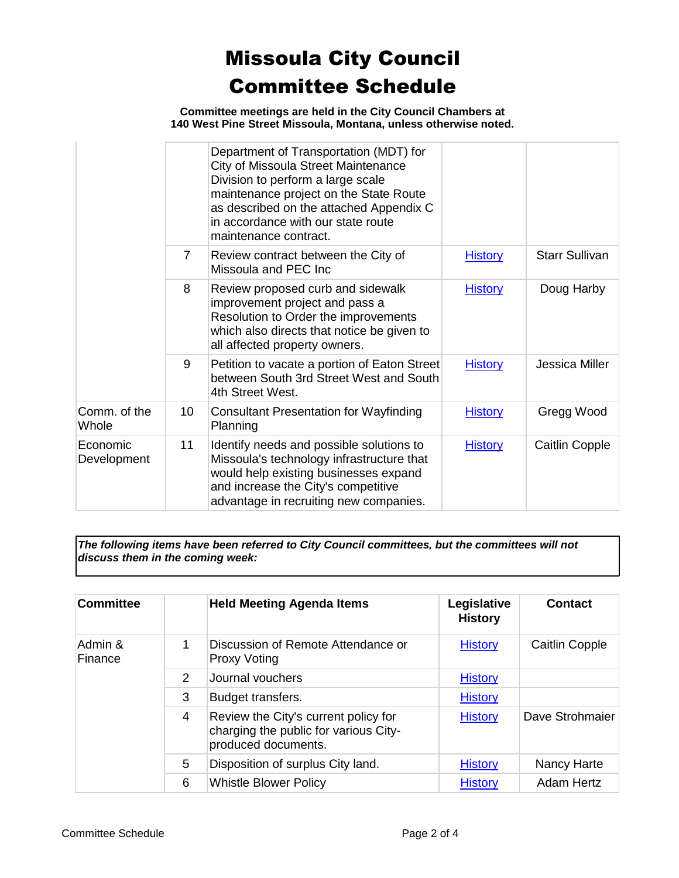**Committee meetings are held in the City Council Chambers at 140 West Pine Street Missoula, Montana, unless otherwise noted.**

|                         |                | Department of Transportation (MDT) for<br>City of Missoula Street Maintenance<br>Division to perform a large scale<br>maintenance project on the State Route<br>as described on the attached Appendix C<br>in accordance with our state route<br>maintenance contract. |                |                       |
|-------------------------|----------------|------------------------------------------------------------------------------------------------------------------------------------------------------------------------------------------------------------------------------------------------------------------------|----------------|-----------------------|
|                         | $\overline{7}$ | Review contract between the City of<br>Missoula and PEC Inc.                                                                                                                                                                                                           | <b>History</b> | <b>Starr Sullivan</b> |
|                         | 8              | Review proposed curb and sidewalk<br>improvement project and pass a<br>Resolution to Order the improvements<br>which also directs that notice be given to<br>all affected property owners.                                                                             | <b>History</b> | Doug Harby            |
|                         | 9              | Petition to vacate a portion of Eaton Street<br>between South 3rd Street West and South<br>4th Street West.                                                                                                                                                            | <b>History</b> | Jessica Miller        |
| Comm. of the<br>Whole   | 10             | Consultant Presentation for Wayfinding<br>Planning                                                                                                                                                                                                                     | <b>History</b> | Gregg Wood            |
| Economic<br>Development | 11             | Identify needs and possible solutions to<br>Missoula's technology infrastructure that<br>would help existing businesses expand<br>and increase the City's competitive<br>advantage in recruiting new companies.                                                        | <b>History</b> | <b>Caitlin Copple</b> |

*The following items have been referred to City Council committees, but the committees will not discuss them in the coming week:*

| <b>Committee</b>   |                | <b>Held Meeting Agenda Items</b>                                                                     | Legislative<br><b>History</b> | <b>Contact</b>  |
|--------------------|----------------|------------------------------------------------------------------------------------------------------|-------------------------------|-----------------|
| Admin &<br>Finance | 1              | Discussion of Remote Attendance or<br><b>Proxy Voting</b>                                            | <b>History</b>                | Caitlin Copple  |
|                    | $\mathcal{P}$  | Journal vouchers                                                                                     | <b>History</b>                |                 |
|                    | 3              | Budget transfers.                                                                                    | <b>History</b>                |                 |
|                    | $\overline{4}$ | Review the City's current policy for<br>charging the public for various City-<br>produced documents. | <b>History</b>                | Dave Strohmaier |
|                    | 5              | Disposition of surplus City land.                                                                    | <b>History</b>                | Nancy Harte     |
|                    | 6              | <b>Whistle Blower Policy</b>                                                                         | <b>History</b>                | Adam Hertz      |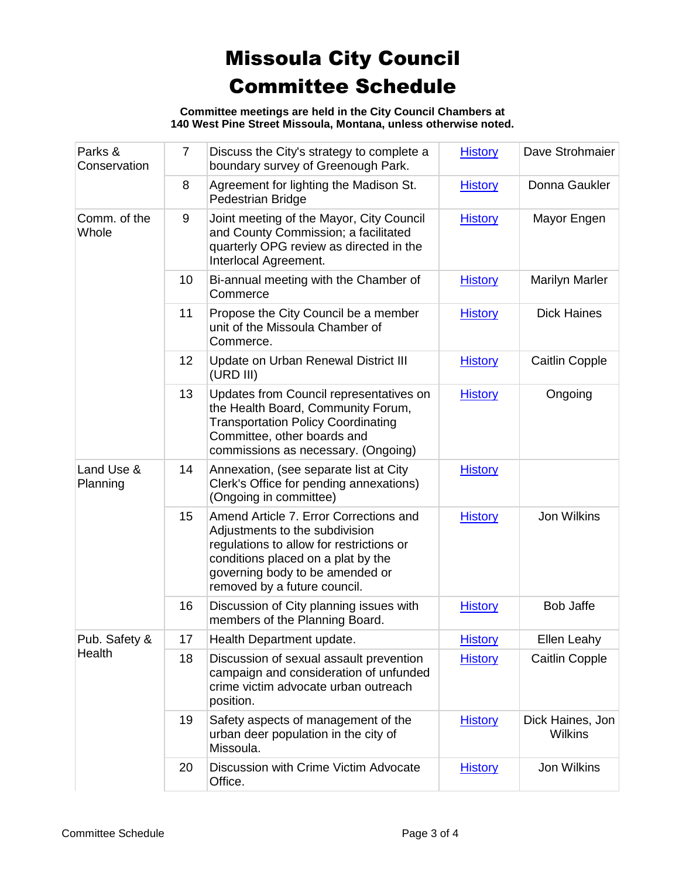**Committee meetings are held in the City Council Chambers at 140 West Pine Street Missoula, Montana, unless otherwise noted.**

| Parks &<br>Conservation | $\overline{7}$ | Discuss the City's strategy to complete a<br>boundary survey of Greenough Park.                                                                                                                                               | <b>History</b> | Dave Strohmaier                    |
|-------------------------|----------------|-------------------------------------------------------------------------------------------------------------------------------------------------------------------------------------------------------------------------------|----------------|------------------------------------|
|                         | 8              | Agreement for lighting the Madison St.<br>Pedestrian Bridge                                                                                                                                                                   | <b>History</b> | Donna Gaukler                      |
| Comm. of the<br>Whole   | 9              | Joint meeting of the Mayor, City Council<br>and County Commission; a facilitated<br>quarterly OPG review as directed in the<br>Interlocal Agreement.                                                                          | <b>History</b> | Mayor Engen                        |
|                         | 10             | Bi-annual meeting with the Chamber of<br>Commerce                                                                                                                                                                             | <b>History</b> | <b>Marilyn Marler</b>              |
|                         | 11             | Propose the City Council be a member<br>unit of the Missoula Chamber of<br>Commerce.                                                                                                                                          | <b>History</b> | <b>Dick Haines</b>                 |
|                         | 12             | Update on Urban Renewal District III<br>(URD III)                                                                                                                                                                             | <b>History</b> | <b>Caitlin Copple</b>              |
|                         | 13             | Updates from Council representatives on<br>the Health Board, Community Forum,<br><b>Transportation Policy Coordinating</b><br>Committee, other boards and<br>commissions as necessary. (Ongoing)                              | <b>History</b> | Ongoing                            |
| Land Use &<br>Planning  | 14             | Annexation, (see separate list at City<br>Clerk's Office for pending annexations)<br>(Ongoing in committee)                                                                                                                   | <b>History</b> |                                    |
|                         | 15             | Amend Article 7. Error Corrections and<br>Adjustments to the subdivision<br>regulations to allow for restrictions or<br>conditions placed on a plat by the<br>governing body to be amended or<br>removed by a future council. | <b>History</b> | <b>Jon Wilkins</b>                 |
|                         | 16             | Discussion of City planning issues with<br>members of the Planning Board.                                                                                                                                                     | <b>History</b> | <b>Bob Jaffe</b>                   |
| Pub. Safety &<br>Health | 17             | Health Department update.                                                                                                                                                                                                     | <b>History</b> | <b>Ellen Leahy</b>                 |
|                         | 18             | Discussion of sexual assault prevention<br>campaign and consideration of unfunded<br>crime victim advocate urban outreach<br>position.                                                                                        | <b>History</b> | <b>Caitlin Copple</b>              |
|                         | 19             | Safety aspects of management of the<br>urban deer population in the city of<br>Missoula.                                                                                                                                      | <b>History</b> | Dick Haines, Jon<br><b>Wilkins</b> |
|                         | 20             | Discussion with Crime Victim Advocate<br>Office.                                                                                                                                                                              | <b>History</b> | Jon Wilkins                        |